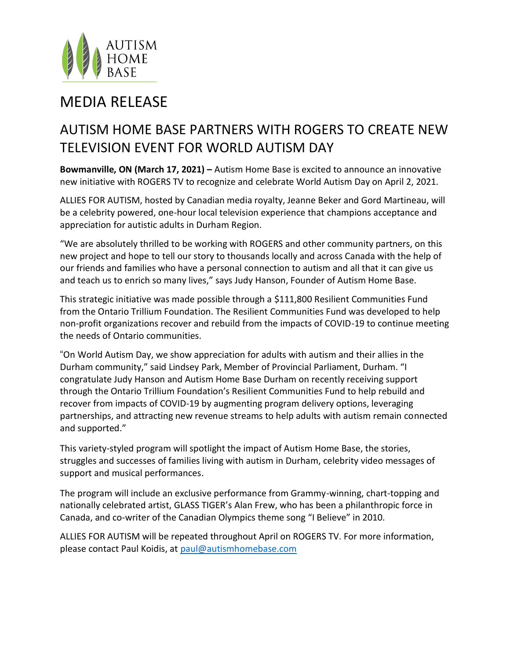

## MEDIA RELEASE

## AUTISM HOME BASE PARTNERS WITH ROGERS TO CREATE NEW TELEVISION EVENT FOR WORLD AUTISM DAY

**Bowmanville, ON (March 17, 2021) –** Autism Home Base is excited to announce an innovative new initiative with ROGERS TV to recognize and celebrate World Autism Day on April 2, 2021.

ALLIES FOR AUTISM, hosted by Canadian media royalty, Jeanne Beker and Gord Martineau, will be a celebrity powered, one-hour local television experience that champions acceptance and appreciation for autistic adults in Durham Region.

"We are absolutely thrilled to be working with ROGERS and other community partners, on this new project and hope to tell our story to thousands locally and across Canada with the help of our friends and families who have a personal connection to autism and all that it can give us and teach us to enrich so many lives," says Judy Hanson, Founder of Autism Home Base.

This strategic initiative was made possible through a \$111,800 Resilient Communities Fund from the Ontario Trillium Foundation. The Resilient Communities Fund was developed to help non-profit organizations recover and rebuild from the impacts of COVID-19 to continue meeting the needs of Ontario communities.

"On World Autism Day, we show appreciation for adults with autism and their allies in the Durham community," said Lindsey Park, Member of Provincial Parliament, Durham. "I congratulate Judy Hanson and Autism Home Base Durham on recently receiving support through the Ontario Trillium Foundation's Resilient Communities Fund to help rebuild and recover from impacts of COVID-19 by augmenting program delivery options, leveraging partnerships, and attracting new revenue streams to help adults with autism remain connected and supported."

This variety-styled program will spotlight the impact of Autism Home Base, the stories, struggles and successes of families living with autism in Durham, celebrity video messages of support and musical performances.

The program will include an exclusive performance from Grammy-winning, chart-topping and nationally celebrated artist, GLASS TIGER's Alan Frew, who has been a philanthropic force in Canada, and co-writer of the Canadian Olympics theme song "I Believe" in 2010.

ALLIES FOR AUTISM will be repeated throughout April on ROGERS TV. For more information, please contact Paul Koidis, at [paul@autismhomebase.com](about:blank)